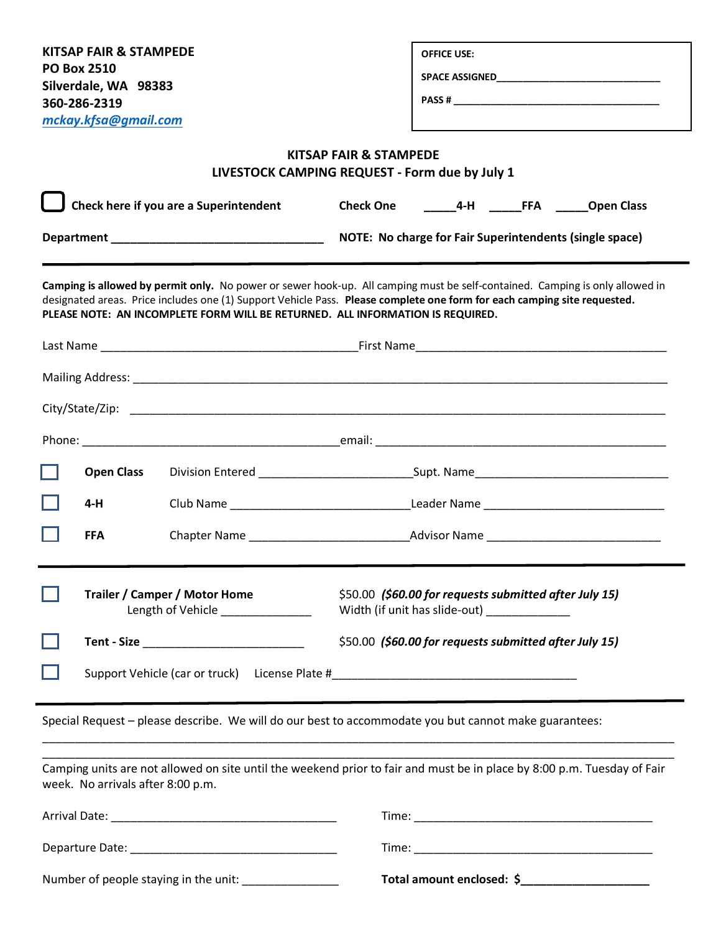| KITSAP FAIR & STAMPEDE                                                         | <b>OFFICE USE:</b>                                                                                                                                                                                                                                       |  |  |  |
|--------------------------------------------------------------------------------|----------------------------------------------------------------------------------------------------------------------------------------------------------------------------------------------------------------------------------------------------------|--|--|--|
| <b>PO Box 2510</b><br>Silverdale, WA 98383                                     |                                                                                                                                                                                                                                                          |  |  |  |
| 360-286-2319                                                                   |                                                                                                                                                                                                                                                          |  |  |  |
| mckay.kfsa@gmail.com                                                           |                                                                                                                                                                                                                                                          |  |  |  |
|                                                                                | <b>KITSAP FAIR &amp; STAMPEDE</b><br>LIVESTOCK CAMPING REQUEST - Form due by July 1                                                                                                                                                                      |  |  |  |
| Check here if you are a Superintendent                                         | 4-H _________________________________Open Class<br><b>Check One</b>                                                                                                                                                                                      |  |  |  |
|                                                                                | NOTE: No charge for Fair Superintendents (single space)                                                                                                                                                                                                  |  |  |  |
| PLEASE NOTE: AN INCOMPLETE FORM WILL BE RETURNED. ALL INFORMATION IS REQUIRED. | Camping is allowed by permit only. No power or sewer hook-up. All camping must be self-contained. Camping is only allowed in<br>designated areas. Price includes one (1) Support Vehicle Pass. Please complete one form for each camping site requested. |  |  |  |
|                                                                                |                                                                                                                                                                                                                                                          |  |  |  |
|                                                                                |                                                                                                                                                                                                                                                          |  |  |  |
|                                                                                |                                                                                                                                                                                                                                                          |  |  |  |
|                                                                                |                                                                                                                                                                                                                                                          |  |  |  |
| <b>Open Class</b>                                                              |                                                                                                                                                                                                                                                          |  |  |  |
| $4-H$                                                                          | Club Name Leader Name Leader Name                                                                                                                                                                                                                        |  |  |  |
| <b>FFA</b>                                                                     |                                                                                                                                                                                                                                                          |  |  |  |
| <b>Trailer / Camper / Motor Home</b><br>Length of Vehicle _____________        | \$50.00 (\$60.00 for requests submitted after July 15)<br>Width (if unit has slide-out) ______________                                                                                                                                                   |  |  |  |
|                                                                                | \$50.00 (\$60.00 for requests submitted after July 15)                                                                                                                                                                                                   |  |  |  |
|                                                                                | Support Vehicle (car or truck) License Plate #__________________________________                                                                                                                                                                         |  |  |  |
|                                                                                |                                                                                                                                                                                                                                                          |  |  |  |
|                                                                                | Special Request - please describe. We will do our best to accommodate you but cannot make guarantees:                                                                                                                                                    |  |  |  |
| week. No arrivals after 8:00 p.m.                                              | Camping units are not allowed on site until the weekend prior to fair and must be in place by 8:00 p.m. Tuesday of Fair                                                                                                                                  |  |  |  |
|                                                                                |                                                                                                                                                                                                                                                          |  |  |  |
|                                                                                |                                                                                                                                                                                                                                                          |  |  |  |
|                                                                                |                                                                                                                                                                                                                                                          |  |  |  |